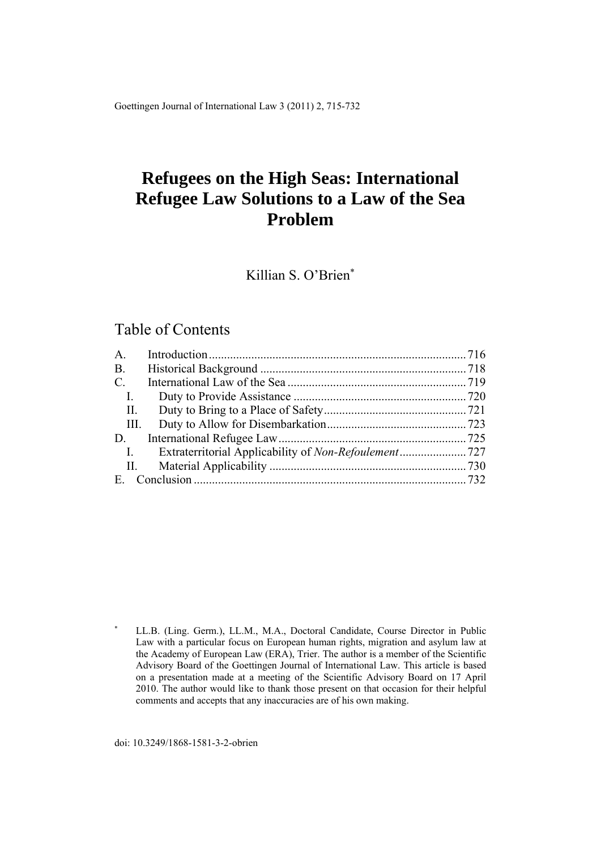Goettingen Journal of International Law 3 (2011) 2, 715-732

# **Refugees on the High Seas: International Refugee Law Solutions to a Law of the Sea Problem**

Killian S. O'Brien

# Table of Contents

| A.             |  |
|----------------|--|
| $B$ .          |  |
| $\mathbf{C}$ . |  |
| $\mathbf{I}$ . |  |
| $\prod$ .      |  |
| III.           |  |
| D.             |  |
| $\mathbf{I}$ . |  |
| П.             |  |
| $E_{\perp}$    |  |

doi: 10.3249/1868-1581-3-2-obrien

<sup>×</sup>  LL.B. (Ling. Germ.), LL.M., M.A., Doctoral Candidate, Course Director in Public Law with a particular focus on European human rights, migration and asylum law at the Academy of European Law (ERA), Trier. The author is a member of the Scientific Advisory Board of the Goettingen Journal of International Law. This article is based on a presentation made at a meeting of the Scientific Advisory Board on 17 April 2010. The author would like to thank those present on that occasion for their helpful comments and accepts that any inaccuracies are of his own making.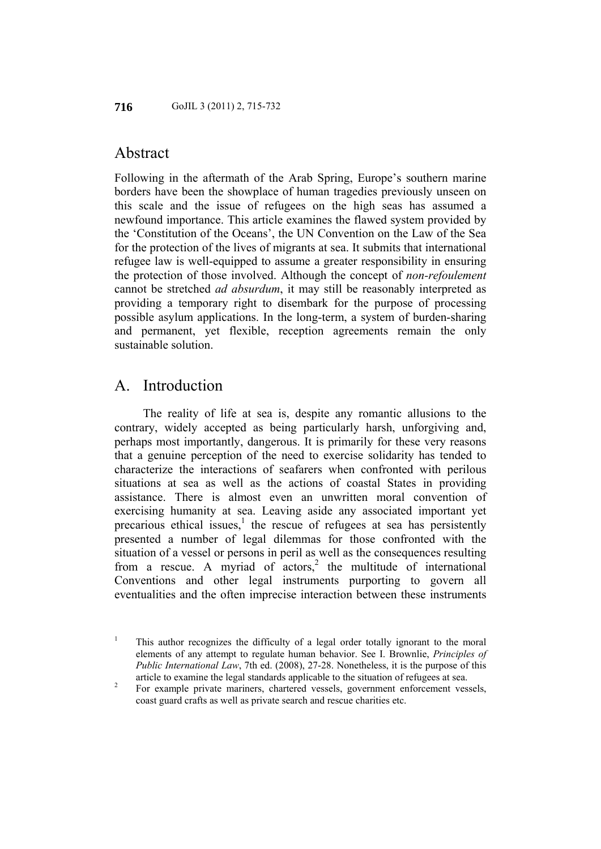# Abstract

Following in the aftermath of the Arab Spring, Europe's southern marine borders have been the showplace of human tragedies previously unseen on this scale and the issue of refugees on the high seas has assumed a newfound importance. This article examines the flawed system provided by the 'Constitution of the Oceans', the UN Convention on the Law of the Sea for the protection of the lives of migrants at sea. It submits that international refugee law is well-equipped to assume a greater responsibility in ensuring the protection of those involved. Although the concept of *non-refoulement* cannot be stretched *ad absurdum*, it may still be reasonably interpreted as providing a temporary right to disembark for the purpose of processing possible asylum applications. In the long-term, a system of burden-sharing and permanent, yet flexible, reception agreements remain the only sustainable solution.

### A. Introduction

The reality of life at sea is, despite any romantic allusions to the contrary, widely accepted as being particularly harsh, unforgiving and, perhaps most importantly, dangerous. It is primarily for these very reasons that a genuine perception of the need to exercise solidarity has tended to characterize the interactions of seafarers when confronted with perilous situations at sea as well as the actions of coastal States in providing assistance. There is almost even an unwritten moral convention of exercising humanity at sea. Leaving aside any associated important yet precarious ethical issues, $<sup>1</sup>$  the rescue of refugees at sea has persistently</sup> presented a number of legal dilemmas for those confronted with the situation of a vessel or persons in peril as well as the consequences resulting from a rescue. A myriad of  $\arccos$ ,<sup>2</sup> the multitude of international Conventions and other legal instruments purporting to govern all eventualities and the often imprecise interaction between these instruments

<sup>&</sup>lt;sup>1</sup> This author recognizes the difficulty of a legal order totally ignorant to the moral elements of any attempt to regulate human behavior. See I. Brownlie, *Principles of Public International Law*, 7th ed. (2008), 27-28. Nonetheless, it is the purpose of this article to examine the legal standards applicable to the situation of refugees at sea. 2

For example private mariners, chartered vessels, government enforcement vessels, coast guard crafts as well as private search and rescue charities etc.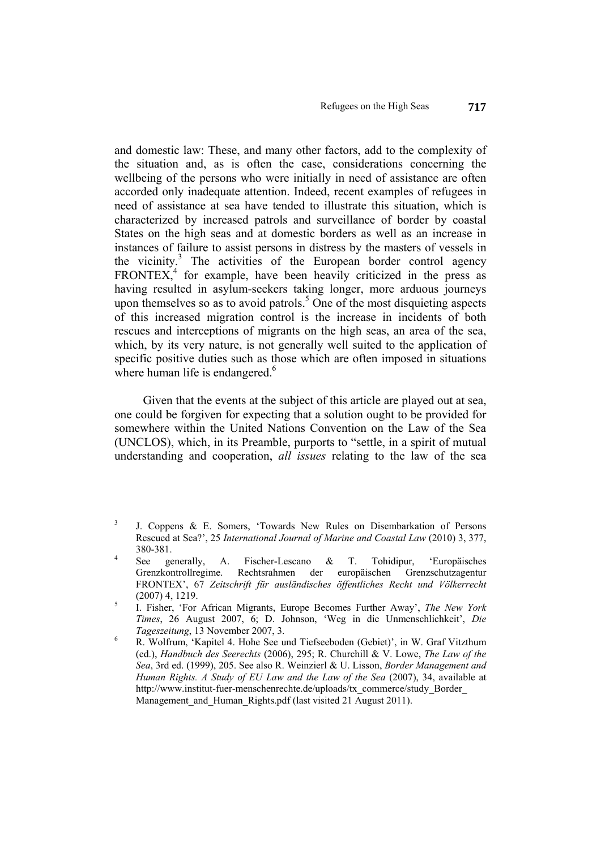and domestic law: These, and many other factors, add to the complexity of the situation and, as is often the case, considerations concerning the wellbeing of the persons who were initially in need of assistance are often accorded only inadequate attention. Indeed, recent examples of refugees in need of assistance at sea have tended to illustrate this situation, which is characterized by increased patrols and surveillance of border by coastal States on the high seas and at domestic borders as well as an increase in instances of failure to assist persons in distress by the masters of vessels in the vicinity.<sup>3</sup> The activities of the European border control agency  $FRONTEX<sup>4</sup>$ , for example, have been heavily criticized in the press as having resulted in asylum-seekers taking longer, more arduous journeys upon themselves so as to avoid patrols.<sup>5</sup> One of the most disquieting aspects of this increased migration control is the increase in incidents of both rescues and interceptions of migrants on the high seas, an area of the sea, which, by its very nature, is not generally well suited to the application of specific positive duties such as those which are often imposed in situations where human life is endangered. $6$ 

Given that the events at the subject of this article are played out at sea, one could be forgiven for expecting that a solution ought to be provided for somewhere within the United Nations Convention on the Law of the Sea (UNCLOS), which, in its Preamble, purports to "settle, in a spirit of mutual understanding and cooperation, *all issues* relating to the law of the sea

<sup>3</sup> J. Coppens & E. Somers, 'Towards New Rules on Disembarkation of Persons Rescued at Sea?', 25 *International Journal of Marine and Coastal Law* (2010) 3, 377,  $380-381$ .<br>4 See generally,

A. Fischer-Lescano & T. Tohidipur, 'Europäisches Grenzkontrollregime. Rechtsrahmen der europäischen Grenzschutzagentur FRONTEX', 67 *Zeitschrift für ausländisches öffentliches Recht und Völkerrecht*  $(2007)$  4, 1219.

I. Fisher, 'For African Migrants, Europe Becomes Further Away', *The New York Times*, 26 August 2007, 6; D. Johnson, 'Weg in die Unmenschlichkeit', *Die Tageszeitung*, 13 November 2007, 3.

R. Wolfrum, 'Kapitel 4. Hohe See und Tiefseeboden (Gebiet)', in W. Graf Vitzthum (ed.), *Handbuch des Seerechts* (2006), 295; R. Churchill & V. Lowe, *The Law of the Sea*, 3rd ed. (1999), 205. See also R. Weinzierl & U. Lisson, *Border Management and Human Rights. A Study of EU Law and the Law of the Sea* (2007), 34, available at http://www.institut-fuer-menschenrechte.de/uploads/tx\_commerce/study\_Border\_ Management and Human Rights.pdf (last visited 21 August 2011).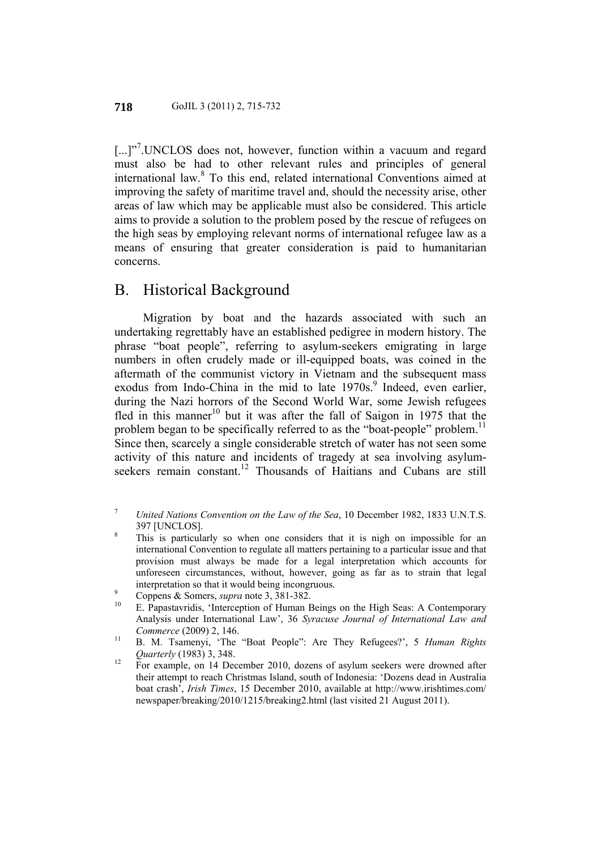[...]"<sup>7</sup>.UNCLOS does not, however, function within a vacuum and regard must also be had to other relevant rules and principles of general international law.<sup>8</sup> To this end, related international Conventions aimed at improving the safety of maritime travel and, should the necessity arise, other areas of law which may be applicable must also be considered. This article aims to provide a solution to the problem posed by the rescue of refugees on the high seas by employing relevant norms of international refugee law as a means of ensuring that greater consideration is paid to humanitarian concerns.

### B. Historical Background

Migration by boat and the hazards associated with such an undertaking regrettably have an established pedigree in modern history. The phrase "boat people", referring to asylum-seekers emigrating in large numbers in often crudely made or ill-equipped boats, was coined in the aftermath of the communist victory in Vietnam and the subsequent mass exodus from Indo-China in the mid to late 1970s.<sup>9</sup> Indeed, even earlier, during the Nazi horrors of the Second World War, some Jewish refugees fled in this manner<sup>10</sup> but it was after the fall of Saigon in 1975 that the problem began to be specifically referred to as the "boat-people" problem.<sup>11</sup> Since then, scarcely a single considerable stretch of water has not seen some activity of this nature and incidents of tragedy at sea involving asylumseekers remain constant.<sup>12</sup> Thousands of Haitians and Cubans are still

- 7  *United Nations Convention on the Law of the Sea*, 10 December 1982, 1833 U.N.T.S. 397 [UNCLOS]. 8
- This is particularly so when one considers that it is nigh on impossible for an international Convention to regulate all matters pertaining to a particular issue and that provision must always be made for a legal interpretation which accounts for unforeseen circumstances, without, however, going as far as to strain that legal
- 
- <sup>9</sup> Coppens & Somers, *supra* note 3, 381-382.<br><sup>10</sup> E. Papastavridis, 'Interception of Human Beings on the High Seas: A Contemporary Analysis under International Law', 36 *Syracuse Journal of International Law and*
- *Commerce* (2009) 2, 146.<br><sup>11</sup> B. M. Tsamenyi, 'The "Boat People": Are They Refugees?', 5 *Human Rights*
- *Quarterly* (1983) 3, 348.<br><sup>12</sup> For example, on 14 December 2010, dozens of asylum seekers were drowned after their attempt to reach Christmas Island, south of Indonesia: 'Dozens dead in Australia boat crash', *Irish Times*, 15 December 2010, available at http://www.irishtimes.com/ newspaper/breaking/2010/1215/breaking2.html (last visited 21 August 2011).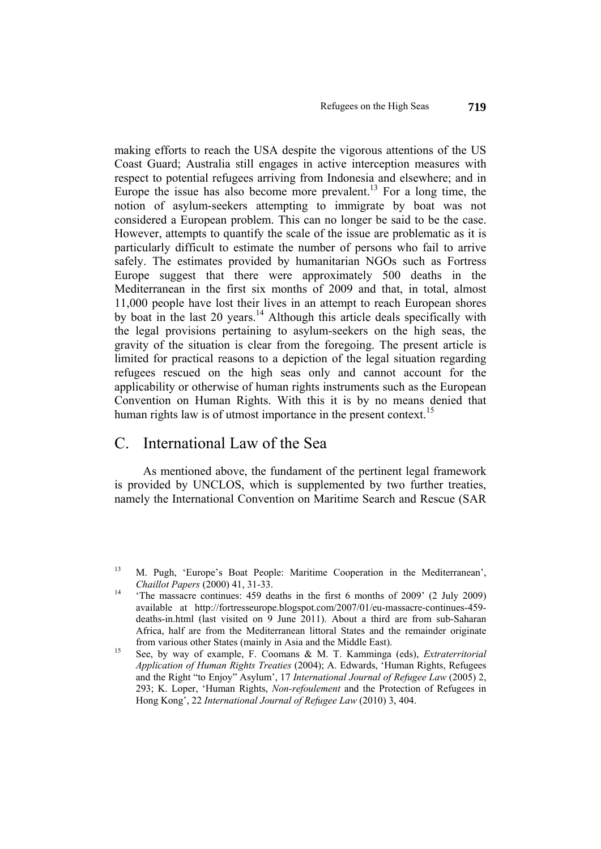making efforts to reach the USA despite the vigorous attentions of the US Coast Guard; Australia still engages in active interception measures with respect to potential refugees arriving from Indonesia and elsewhere; and in Europe the issue has also become more prevalent.<sup>13</sup> For a long time, the notion of asylum-seekers attempting to immigrate by boat was not considered a European problem. This can no longer be said to be the case. However, attempts to quantify the scale of the issue are problematic as it is particularly difficult to estimate the number of persons who fail to arrive safely. The estimates provided by humanitarian NGOs such as Fortress Europe suggest that there were approximately 500 deaths in the Mediterranean in the first six months of 2009 and that, in total, almost 11,000 people have lost their lives in an attempt to reach European shores by boat in the last 20 years.<sup>14</sup> Although this article deals specifically with the legal provisions pertaining to asylum-seekers on the high seas, the gravity of the situation is clear from the foregoing. The present article is limited for practical reasons to a depiction of the legal situation regarding refugees rescued on the high seas only and cannot account for the applicability or otherwise of human rights instruments such as the European Convention on Human Rights. With this it is by no means denied that human rights law is of utmost importance in the present context.<sup>15</sup>

# C. International Law of the Sea

As mentioned above, the fundament of the pertinent legal framework is provided by UNCLOS, which is supplemented by two further treaties, namely the International Convention on Maritime Search and Rescue (SAR

<sup>13</sup> M. Pugh, 'Europe's Boat People: Maritime Cooperation in the Mediterranean', *Chaillot Papers* (2000) 41, 31-33.<br><sup>14</sup> 'The massacre continues: 459 deaths in the first 6 months of 2009' (2 July 2009)

available at http://fortresseurope.blogspot.com/2007/01/eu-massacre-continues-459 deaths-in.html (last visited on 9 June 2011). About a third are from sub-Saharan Africa, half are from the Mediterranean littoral States and the remainder originate from various other States (mainly in Asia and the Middle East). 15 See, by way of example, F. Coomans & M. T. Kamminga (eds), *Extraterritorial* 

*Application of Human Rights Treaties* (2004); A. Edwards, 'Human Rights, Refugees and the Right "to Enjoy" Asylum', 17 *International Journal of Refugee Law* (2005) 2, 293; K. Loper, 'Human Rights, *Non-refoulement* and the Protection of Refugees in Hong Kong', 22 *International Journal of Refugee Law* (2010) 3, 404.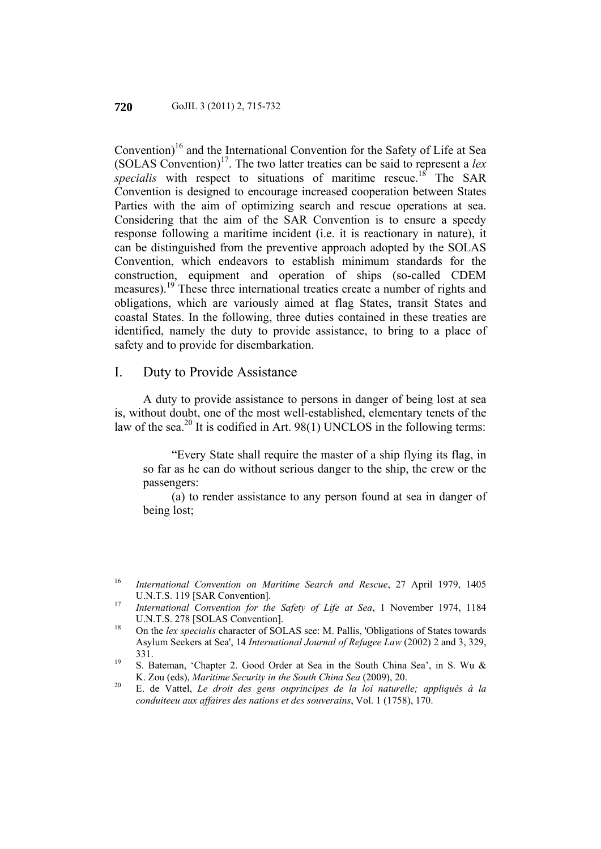Convention)<sup>16</sup> and the International Convention for the Safety of Life at Sea (SOLAS Convention)17. The two latter treaties can be said to represent a *lex specialis* with respect to situations of maritime rescue.<sup>18</sup> The SAR Convention is designed to encourage increased cooperation between States Parties with the aim of optimizing search and rescue operations at sea. Considering that the aim of the SAR Convention is to ensure a speedy response following a maritime incident (i.e. it is reactionary in nature), it can be distinguished from the preventive approach adopted by the SOLAS Convention, which endeavors to establish minimum standards for the construction, equipment and operation of ships (so-called CDEM measures).<sup>19</sup> These three international treaties create a number of rights and obligations, which are variously aimed at flag States, transit States and coastal States. In the following, three duties contained in these treaties are identified, namely the duty to provide assistance, to bring to a place of safety and to provide for disembarkation.

#### I. Duty to Provide Assistance

A duty to provide assistance to persons in danger of being lost at sea is, without doubt, one of the most well-established, elementary tenets of the law of the sea.<sup>20</sup> It is codified in Art. 98(1) UNCLOS in the following terms:

"Every State shall require the master of a ship flying its flag, in so far as he can do without serious danger to the ship, the crew or the passengers:

(a) to render assistance to any person found at sea in danger of being lost;

<sup>16</sup>*International Convention on Maritime Search and Rescue*, 27 April 1979, 1405 U.N.T.S. 119 [SAR Convention]. 17 *International Convention for the Safety of Life at Sea*, 1 November 1974, 1184

U.N.T.S. 278 [SOLAS Convention].<br><sup>18</sup> On the *lex specialis* character of SOLAS see: M. Pallis, 'Obligations of States towards

Asylum Seekers at Sea', 14 *International Journal of Refugee Law* (2002) 2 and 3, 329, 331. 19 S. Bateman, 'Chapter 2. Good Order at Sea in the South China Sea', in S. Wu &

K. Zou (eds), *Maritime Security in the South China Sea* (2009), 20. 20 E. de Vattel, *Le droit des gens ouprincipes de la loi naturelle; appliqués à la* 

*conduiteeu aux affaires des nations et des souverains*, Vol. 1 (1758), 170.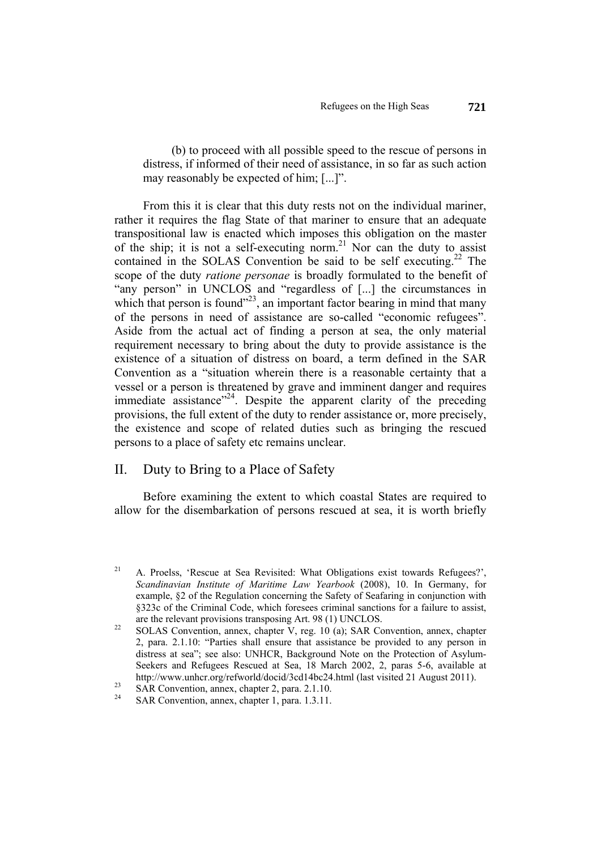(b) to proceed with all possible speed to the rescue of persons in distress, if informed of their need of assistance, in so far as such action may reasonably be expected of him; [...]".

From this it is clear that this duty rests not on the individual mariner, rather it requires the flag State of that mariner to ensure that an adequate transpositional law is enacted which imposes this obligation on the master of the ship; it is not a self-executing norm.<sup>21</sup> Nor can the duty to assist contained in the SOLAS Convention be said to be self executing.<sup>22</sup> The scope of the duty *ratione personae* is broadly formulated to the benefit of "any person" in UNCLOS and "regardless of [...] the circumstances in which that person is found"<sup>23</sup>, an important factor bearing in mind that many of the persons in need of assistance are so-called "economic refugees". Aside from the actual act of finding a person at sea, the only material requirement necessary to bring about the duty to provide assistance is the existence of a situation of distress on board, a term defined in the SAR Convention as a "situation wherein there is a reasonable certainty that a vessel or a person is threatened by grave and imminent danger and requires immediate assistance<sup> $2^2$ </sup>. Despite the apparent clarity of the preceding provisions, the full extent of the duty to render assistance or, more precisely, the existence and scope of related duties such as bringing the rescued persons to a place of safety etc remains unclear.

#### II. Duty to Bring to a Place of Safety

Before examining the extent to which coastal States are required to allow for the disembarkation of persons rescued at sea, it is worth briefly

<sup>&</sup>lt;sup>21</sup> A. Proelss, 'Rescue at Sea Revisited: What Obligations exist towards Refugees?', *Scandinavian Institute of Maritime Law Yearbook* (2008), 10. In Germany, for example, §2 of the Regulation concerning the Safety of Seafaring in conjunction with §323c of the Criminal Code, which foresees criminal sanctions for a failure to assist,

are the relevant provisions transposing Art. 98 (1) UNCLOS.<br><sup>22</sup> SOLAS Convention, annex, chapter V, reg. 10 (a); SAR Convention, annex, chapter 2, para. 2.1.10: "Parties shall ensure that assistance be provided to any person in distress at sea"; see also: UNHCR, Background Note on the Protection of Asylum-Seekers and Refugees Rescued at Sea, 18 March 2002, 2, paras 5-6, available at http://www.unhcr.org/refworld/docid/3cd14bc24.html (last visited 21 August 2011).<br>SAR Convention, annex, chapter 2, para. 2.1.10.

SAR Convention, annex, chapter 1, para. 1.3.11.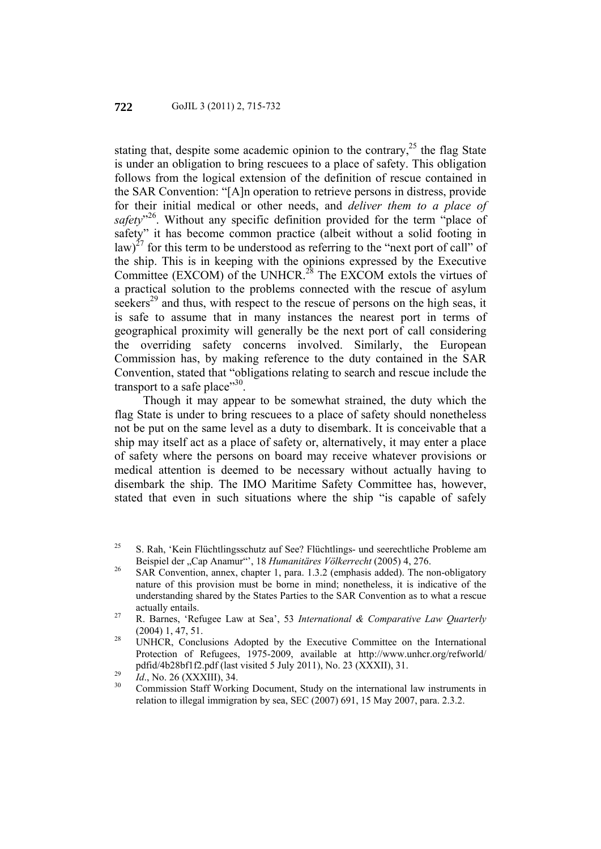stating that, despite some academic opinion to the contrary,  $2<sup>5</sup>$  the flag State is under an obligation to bring rescuees to a place of safety. This obligation follows from the logical extension of the definition of rescue contained in the SAR Convention: "[A]n operation to retrieve persons in distress, provide for their initial medical or other needs, and *deliver them to a place of*  safety<sup>"26</sup>. Without any specific definition provided for the term "place of safety" it has become common practice (albeit without a solid footing in law)<sup>27</sup> for this term to be understood as referring to the "next port of call" of the ship. This is in keeping with the opinions expressed by the Executive Committee (EXCOM) of the UNHCR.<sup>28</sup> The EXCOM extols the virtues of a practical solution to the problems connected with the rescue of asylum seekers<sup>29</sup> and thus, with respect to the rescue of persons on the high seas, it is safe to assume that in many instances the nearest port in terms of geographical proximity will generally be the next port of call considering the overriding safety concerns involved. Similarly, the European Commission has, by making reference to the duty contained in the SAR Convention, stated that "obligations relating to search and rescue include the transport to a safe place"30.

Though it may appear to be somewhat strained, the duty which the flag State is under to bring rescuees to a place of safety should nonetheless not be put on the same level as a duty to disembark. It is conceivable that a ship may itself act as a place of safety or, alternatively, it may enter a place of safety where the persons on board may receive whatever provisions or medical attention is deemed to be necessary without actually having to disembark the ship. The IMO Maritime Safety Committee has, however, stated that even in such situations where the ship "is capable of safely

<sup>&</sup>lt;sup>25</sup> S. Rah, 'Kein Flüchtlingsschutz auf See? Flüchtlings- und seerechtliche Probleme am

Beispiel der "Cap Anamur"', 18 *Humanitäres Völkerrecht* (2005) 4, 276.<br>
SAR Convention, annex, chapter 1, para. 1.3.2 (emphasis added). The non-obligatory nature of this provision must be borne in mind; nonetheless, it is indicative of the understanding shared by the States Parties to the SAR Convention as to what a rescue

actually entails. 27 R. Barnes, 'Refugee Law at Sea', 53 *International & Comparative Law Quarterly* (2004) 1, 47, 51.<br><sup>28</sup> UNHCR, Conclusions Adopted by the Executive Committee on the International

Protection of Refugees, 1975-2009, available at http://www.unhcr.org/refworld/

pdfid/4b28bf1f2.pdf (last visited 5 July 2011), No. 23 (XXXII), 31.<br>
<sup>29</sup> *Id.*, No. 26 (XXXIII), 34.<br>
Commission Staff Working Document, Study on the international law instruments in relation to illegal immigration by sea, SEC (2007) 691, 15 May 2007, para. 2.3.2.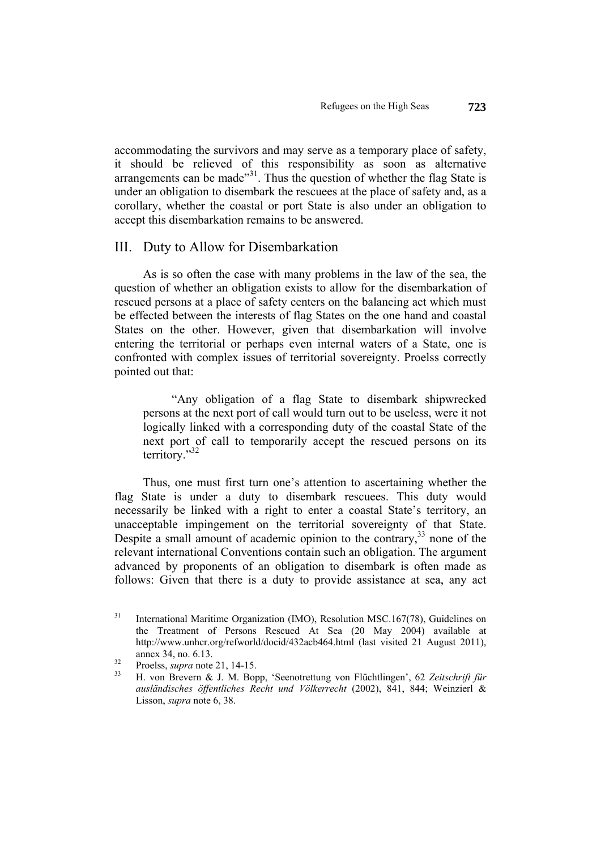accommodating the survivors and may serve as a temporary place of safety, it should be relieved of this responsibility as soon as alternative arrangements can be made $^{31}$ . Thus the question of whether the flag State is under an obligation to disembark the rescuees at the place of safety and, as a corollary, whether the coastal or port State is also under an obligation to accept this disembarkation remains to be answered.

#### III. Duty to Allow for Disembarkation

As is so often the case with many problems in the law of the sea, the question of whether an obligation exists to allow for the disembarkation of rescued persons at a place of safety centers on the balancing act which must be effected between the interests of flag States on the one hand and coastal States on the other. However, given that disembarkation will involve entering the territorial or perhaps even internal waters of a State, one is confronted with complex issues of territorial sovereignty. Proelss correctly pointed out that:

"Any obligation of a flag State to disembark shipwrecked persons at the next port of call would turn out to be useless, were it not logically linked with a corresponding duty of the coastal State of the next port of call to temporarily accept the rescued persons on its territory."32

Thus, one must first turn one's attention to ascertaining whether the flag State is under a duty to disembark rescuees. This duty would necessarily be linked with a right to enter a coastal State's territory, an unacceptable impingement on the territorial sovereignty of that State. Despite a small amount of academic opinion to the contrary,<sup>33</sup> none of the relevant international Conventions contain such an obligation. The argument advanced by proponents of an obligation to disembark is often made as follows: Given that there is a duty to provide assistance at sea, any act

<sup>&</sup>lt;sup>31</sup> International Maritime Organization (IMO), Resolution MSC.167(78), Guidelines on the Treatment of Persons Rescued At Sea (20 May 2004) available at http://www.unhcr.org/refworld/docid/432acb464.html (last visited 21 August 2011), annex 34, no. 6.13.<br><sup>32</sup> Proelss, *supra* note 21, 14-15.<br><sup>33</sup> H. von Brevern & J. M. Bopp, 'Seenotrettung von Flüchtlingen', 62 *Zeitschrift für* 

*ausländisches öffentliches Recht und Völkerrecht* (2002), 841, 844; Weinzierl & Lisson, *supra* note 6, 38.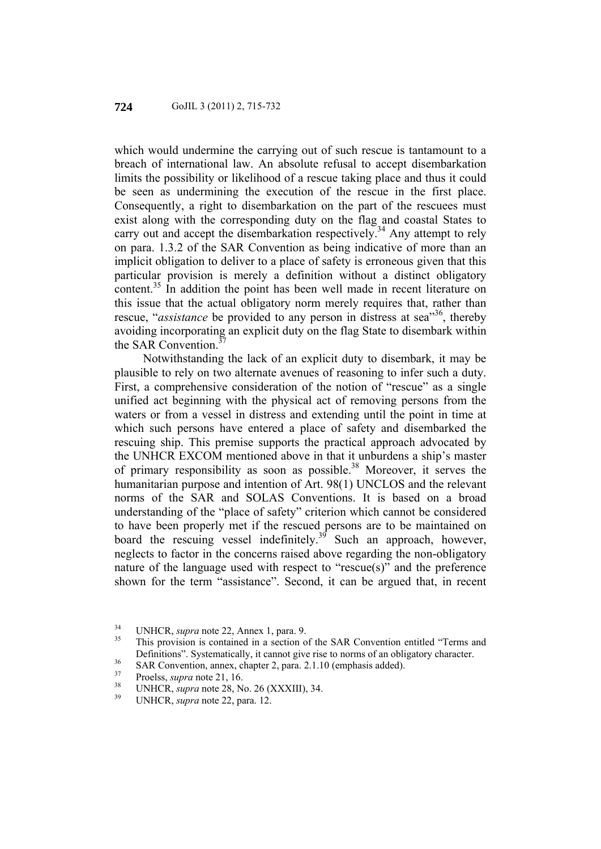which would undermine the carrying out of such rescue is tantamount to a breach of international law. An absolute refusal to accept disembarkation limits the possibility or likelihood of a rescue taking place and thus it could be seen as undermining the execution of the rescue in the first place. Consequently, a right to disembarkation on the part of the rescuees must exist along with the corresponding duty on the flag and coastal States to carry out and accept the disembarkation respectively.<sup>34</sup> Any attempt to rely on para. 1.3.2 of the SAR Convention as being indicative of more than an implicit obligation to deliver to a place of safety is erroneous given that this particular provision is merely a definition without a distinct obligatory content.<sup>35</sup> In addition the point has been well made in recent literature on this issue that the actual obligatory norm merely requires that, rather than rescue, "*assistance* be provided to any person in distress at sea<sup>"36</sup>, thereby avoiding incorporating an explicit duty on the flag State to disembark within the SAR Convention.<sup>3</sup>

Notwithstanding the lack of an explicit duty to disembark, it may be plausible to rely on two alternate avenues of reasoning to infer such a duty. First, a comprehensive consideration of the notion of "rescue" as a single unified act beginning with the physical act of removing persons from the waters or from a vessel in distress and extending until the point in time at which such persons have entered a place of safety and disembarked the rescuing ship. This premise supports the practical approach advocated by the UNHCR EXCOM mentioned above in that it unburdens a ship's master of primary responsibility as soon as possible.<sup>38</sup> Moreover, it serves the humanitarian purpose and intention of Art. 98(1) UNCLOS and the relevant norms of the SAR and SOLAS Conventions. It is based on a broad understanding of the "place of safety" criterion which cannot be considered to have been properly met if the rescued persons are to be maintained on board the rescuing vessel indefinitely.<sup>39</sup> Such an approach, however, neglects to factor in the concerns raised above regarding the non-obligatory nature of the language used with respect to "rescue(s)" and the preference shown for the term "assistance". Second, it can be argued that, in recent

<sup>&</sup>lt;sup>34</sup> UNHCR, *supra* note 22, Annex 1, para. 9.<br><sup>35</sup> This provision is contained in a section of the SAR Convention entitled "Terms and Definitions". Systematically, it cannot give rise to norms of an obligatory character.<br>SAR Convention, annex, chapter 2, para. 2.1.10 (emphasis added).

<sup>37</sup> Proelss, *supra* note 21, 16. 38 UNHCR, *supra* note 28, No. 26 (XXXIII), 34. 39 UNHCR, *supra* note 22, para. 12.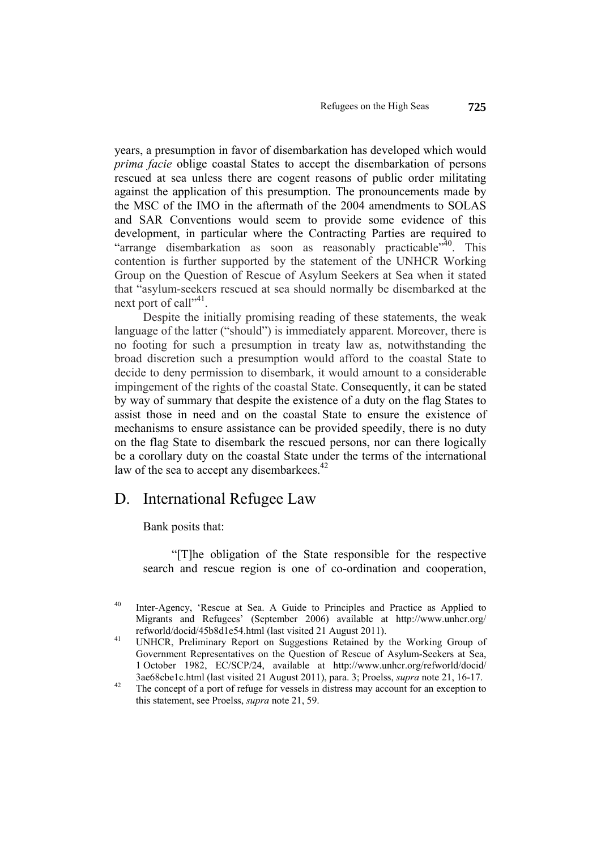years, a presumption in favor of disembarkation has developed which would *prima facie* oblige coastal States to accept the disembarkation of persons rescued at sea unless there are cogent reasons of public order militating against the application of this presumption. The pronouncements made by the MSC of the IMO in the aftermath of the 2004 amendments to SOLAS and SAR Conventions would seem to provide some evidence of this development, in particular where the Contracting Parties are required to "arrange disembarkation as soon as reasonably practicable"<sup>40</sup>. This contention is further supported by the statement of the UNHCR Working Group on the Question of Rescue of Asylum Seekers at Sea when it stated that "asylum-seekers rescued at sea should normally be disembarked at the next port of call"<sup>41</sup>.

Despite the initially promising reading of these statements, the weak language of the latter ("should") is immediately apparent. Moreover, there is no footing for such a presumption in treaty law as, notwithstanding the broad discretion such a presumption would afford to the coastal State to decide to deny permission to disembark, it would amount to a considerable impingement of the rights of the coastal State. Consequently, it can be stated by way of summary that despite the existence of a duty on the flag States to assist those in need and on the coastal State to ensure the existence of mechanisms to ensure assistance can be provided speedily, there is no duty on the flag State to disembark the rescued persons, nor can there logically be a corollary duty on the coastal State under the terms of the international law of the sea to accept any disembarkees.<sup>42</sup>

#### D. International Refugee Law

Bank posits that:

"[T]he obligation of the State responsible for the respective search and rescue region is one of co-ordination and cooperation,

40 Inter-Agency, 'Rescue at Sea. A Guide to Principles and Practice as Applied to Migrants and Refugees' (September 2006) available at http://www.unhcr.org/ refworld/docid/45b8d1e54.html (last visited 21 August 2011). 41 UNHCR, Preliminary Report on Suggestions Retained by the Working Group of

Government Representatives on the Question of Rescue of Asylum-Seekers at Sea, 1 October 1982, EC/SCP/24, available at http://www.unhcr.org/refworld/docid/ 3ae68cbe1c.html (last visited 21 August 2011), para. 3; Proelss, *supra* note 21, 16-17.<br><sup>42</sup> The concept of a port of refuge for vessels in distress may account for an exception to

this statement, see Proelss, *supra* note 21, 59.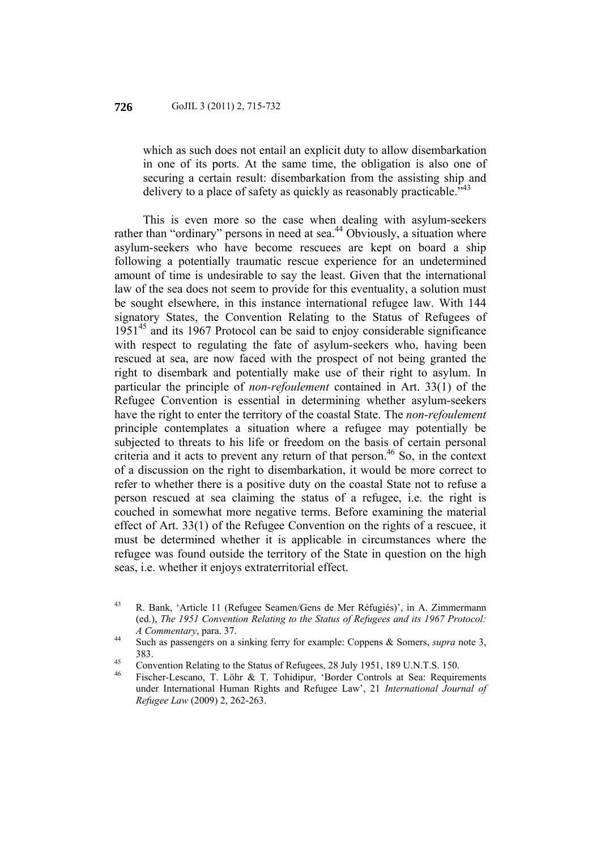which as such does not entail an explicit duty to allow disembarkation in one of its ports. At the same time, the obligation is also one of securing a certain result: disembarkation from the assisting ship and delivery to a place of safety as quickly as reasonably practicable."

This is even more so the case when dealing with asylum-seekers rather than "ordinary" persons in need at sea.<sup>44</sup> Obviously, a situation where asylum-seekers who have become rescuees are kept on board a ship following a potentially traumatic rescue experience for an undetermined amount of time is undesirable to say the least. Given that the international law of the sea does not seem to provide for this eventuality, a solution must be sought elsewhere, in this instance international refugee law. With 144 signatory States, the Convention Relating to the Status of Refugees of  $1951<sup>45</sup>$  and its 1967 Protocol can be said to enjoy considerable significance with respect to regulating the fate of asylum-seekers who, having been rescued at sea, are now faced with the prospect of not being granted the right to disembark and potentially make use of their right to asylum. In particular the principle of *non-refoulement* contained in Art. 33(1) of the Refugee Convention is essential in determining whether asylum-seekers have the right to enter the territory of the coastal State. The *non-refoulement* principle contemplates a situation where a refugee may potentially be subjected to threats to his life or freedom on the basis of certain personal criteria and it acts to prevent any return of that person.<sup>46</sup> So, in the context of a discussion on the right to disembarkation, it would be more correct to refer to whether there is a positive duty on the coastal State not to refuse a person rescued at sea claiming the status of a refugee, i.e. the right is couched in somewhat more negative terms. Before examining the material effect of Art. 33(1) of the Refugee Convention on the rights of a rescuee, it must be determined whether it is applicable in circumstances where the refugee was found outside the territory of the State in question on the high seas, i.e. whether it enjoys extraterritorial effect.

<sup>43</sup> R. Bank, 'Article 11 (Refugee Seamen/Gens de Mer Réfugiés)', in A. Zimmermann (ed.), *The 1951 Convention Relating to the Status of Refugees and its 1967 Protocol:* 

*A Commentary*, para. 37. **6**<br><sup>44</sup> Such as passengers on a sinking ferry for example: Coppens & Somers, *supra* note 3,

<sup>383.&</sup>lt;br>
Convention Relating to the Status of Refugees, 28 July 1951, 189 U.N.T.S. 150.

<sup>46</sup> Fischer-Lescano, T. Löhr & T. Tohidipur, 'Border Controls at Sea: Requirements under International Human Rights and Refugee Law', 21 *International Journal of Refugee Law* (2009) 2, 262-263.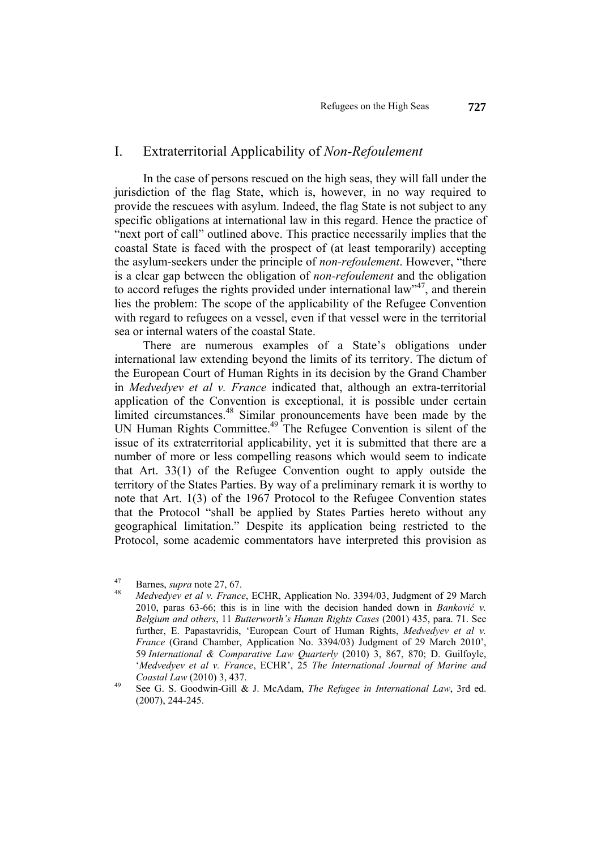#### I. Extraterritorial Applicability of *Non-Refoulement*

In the case of persons rescued on the high seas, they will fall under the jurisdiction of the flag State, which is, however, in no way required to provide the rescuees with asylum. Indeed, the flag State is not subject to any specific obligations at international law in this regard. Hence the practice of "next port of call" outlined above. This practice necessarily implies that the coastal State is faced with the prospect of (at least temporarily) accepting the asylum-seekers under the principle of *non-refoulement*. However, "there is a clear gap between the obligation of *non-refoulement* and the obligation to accord refuges the rights provided under international law<sup>347</sup>, and therein lies the problem: The scope of the applicability of the Refugee Convention with regard to refugees on a vessel, even if that vessel were in the territorial sea or internal waters of the coastal State.

There are numerous examples of a State's obligations under international law extending beyond the limits of its territory. The dictum of the European Court of Human Rights in its decision by the Grand Chamber in *Medvedyev et al v. France* indicated that, although an extra-territorial application of the Convention is exceptional, it is possible under certain limited circumstances.<sup>48</sup> Similar pronouncements have been made by the UN Human Rights Committee.<sup>49</sup> The Refugee Convention is silent of the issue of its extraterritorial applicability, yet it is submitted that there are a number of more or less compelling reasons which would seem to indicate that Art. 33(1) of the Refugee Convention ought to apply outside the territory of the States Parties. By way of a preliminary remark it is worthy to note that Art. 1(3) of the 1967 Protocol to the Refugee Convention states that the Protocol "shall be applied by States Parties hereto without any geographical limitation." Despite its application being restricted to the Protocol, some academic commentators have interpreted this provision as

<sup>47</sup> Barnes, *supra* note 27, 67. 48 *Medvedyev et al v. France*, ECHR, Application No. 3394/03, Judgment of 29 March 2010, paras 63-66; this is in line with the decision handed down in *Banković v. Belgium and others*, 11 *Butterworth's Human Rights Cases* (2001) 435, para. 71. See further, E. Papastavridis, 'European Court of Human Rights, *Medvedyev et al v. France* (Grand Chamber, Application No. 3394/03) Judgment of 29 March 2010', 59 *International & Comparative Law Quarterly* (2010) 3, 867, 870; D. Guilfoyle, '*Medvedyev et al v. France*, ECHR', 25 *The International Journal of Marine and Coastal Law* (2010) 3, 437.<br><sup>49</sup> See G. S. Goodwin-Gill & J. McAdam, *The Refugee in International Law*, 3rd ed.

<sup>(2007), 244-245.</sup>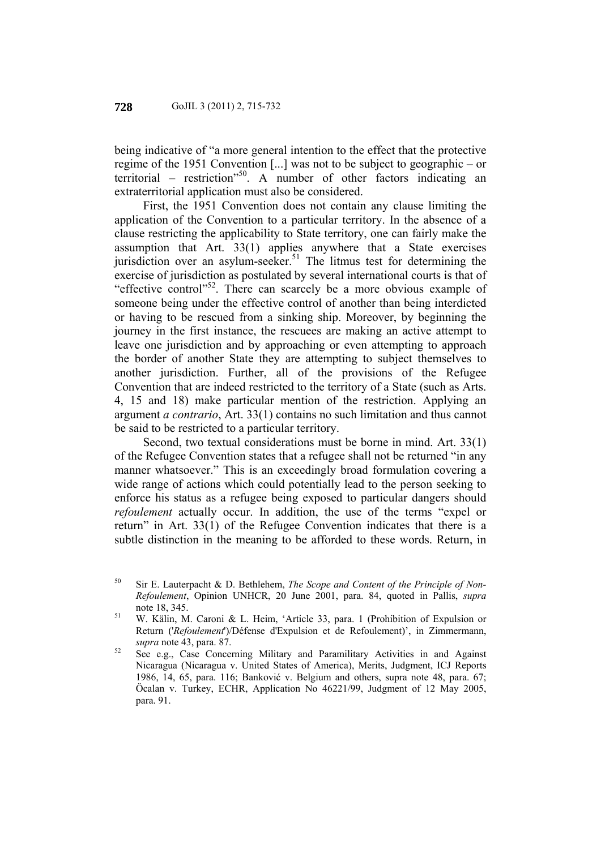being indicative of "a more general intention to the effect that the protective regime of the 1951 Convention [...] was not to be subject to geographic – or territorial – restriction<sup> $50$ </sup>. A number of other factors indicating an extraterritorial application must also be considered.

First, the 1951 Convention does not contain any clause limiting the application of the Convention to a particular territory. In the absence of a clause restricting the applicability to State territory, one can fairly make the assumption that Art. 33(1) applies anywhere that a State exercises jurisdiction over an asylum-seeker.<sup>51</sup> The litmus test for determining the exercise of jurisdiction as postulated by several international courts is that of "effective control"52. There can scarcely be a more obvious example of someone being under the effective control of another than being interdicted or having to be rescued from a sinking ship. Moreover, by beginning the journey in the first instance, the rescuees are making an active attempt to leave one jurisdiction and by approaching or even attempting to approach the border of another State they are attempting to subject themselves to another jurisdiction. Further, all of the provisions of the Refugee Convention that are indeed restricted to the territory of a State (such as Arts. 4, 15 and 18) make particular mention of the restriction. Applying an argument *a contrario*, Art. 33(1) contains no such limitation and thus cannot be said to be restricted to a particular territory.

Second, two textual considerations must be borne in mind. Art. 33(1) of the Refugee Convention states that a refugee shall not be returned "in any manner whatsoever." This is an exceedingly broad formulation covering a wide range of actions which could potentially lead to the person seeking to enforce his status as a refugee being exposed to particular dangers should *refoulement* actually occur. In addition, the use of the terms "expel or return" in Art. 33(1) of the Refugee Convention indicates that there is a subtle distinction in the meaning to be afforded to these words. Return, in

<sup>50</sup> Sir E. Lauterpacht & D. Bethlehem, *The Scope and Content of the Principle of Non-Refoulement*, Opinion UNHCR, 20 June 2001, para. 84, quoted in Pallis, *supra*

note 18, 345. 51 W. Kälin, M. Caroni & L. Heim, 'Article 33, para. 1 (Prohibition of Expulsion or Return ('*Refoulement*')/Défense d'Expulsion et de Refoulement)', in Zimmermann, *supra* note 43, para. 87.<br><sup>52</sup> See e.g., Case Concerning Military and Paramilitary Activities in and Against

Nicaragua (Nicaragua v. United States of America), Merits, Judgment, ICJ Reports 1986, 14, 65, para. 116; Banković v. Belgium and others, supra note 48, para. 67; Öcalan v. Turkey, ECHR, Application No 46221/99, Judgment of 12 May 2005, para. 91.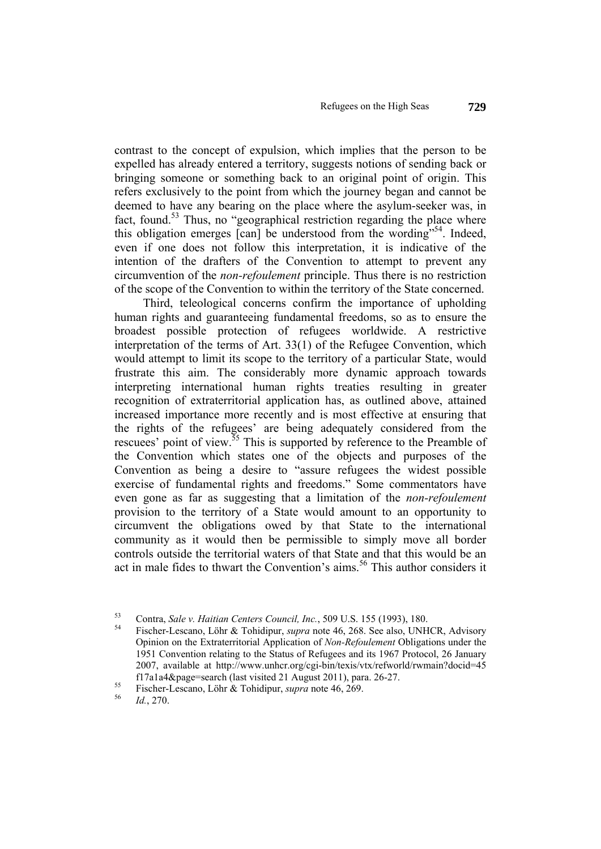contrast to the concept of expulsion, which implies that the person to be expelled has already entered a territory, suggests notions of sending back or bringing someone or something back to an original point of origin. This refers exclusively to the point from which the journey began and cannot be deemed to have any bearing on the place where the asylum-seeker was, in fact, found.<sup>53</sup> Thus, no "geographical restriction regarding the place where this obligation emerges  $\lceil \text{can} \rceil$  be understood from the wording"<sup>54</sup>. Indeed, even if one does not follow this interpretation, it is indicative of the intention of the drafters of the Convention to attempt to prevent any circumvention of the *non-refoulement* principle. Thus there is no restriction of the scope of the Convention to within the territory of the State concerned.

Third, teleological concerns confirm the importance of upholding human rights and guaranteeing fundamental freedoms, so as to ensure the broadest possible protection of refugees worldwide. A restrictive interpretation of the terms of Art. 33(1) of the Refugee Convention, which would attempt to limit its scope to the territory of a particular State, would frustrate this aim. The considerably more dynamic approach towards interpreting international human rights treaties resulting in greater recognition of extraterritorial application has, as outlined above, attained increased importance more recently and is most effective at ensuring that the rights of the refugees' are being adequately considered from the rescuees' point of view.<sup>55</sup> This is supported by reference to the Preamble of the Convention which states one of the objects and purposes of the Convention as being a desire to "assure refugees the widest possible exercise of fundamental rights and freedoms." Some commentators have even gone as far as suggesting that a limitation of the *non-refoulement* provision to the territory of a State would amount to an opportunity to circumvent the obligations owed by that State to the international community as it would then be permissible to simply move all border controls outside the territorial waters of that State and that this would be an act in male fides to thwart the Convention's aims.<sup>56</sup> This author considers it

<sup>53</sup> Contra, *Sale v. Haitian Centers Council, Inc.*, 509 U.S. 155 (1993), 180. 54 Fischer-Lescano, Löhr & Tohidipur, *supra* note 46, 268. See also, UNHCR, Advisory Opinion on the Extraterritorial Application of *Non-Refoulement* Obligations under the 1951 Convention relating to the Status of Refugees and its 1967 Protocol, 26 January 2007, available at http://www.unhcr.org/cgi-bin/texis/vtx/refworld/rwmain?docid=45 f17a1a4&page=search (last visited 21 August 2011), para. 26-27. 55 Fischer-Lescano, Löhr & Tohidipur, *supra* note 46, 269. 56 *Id.*, 270.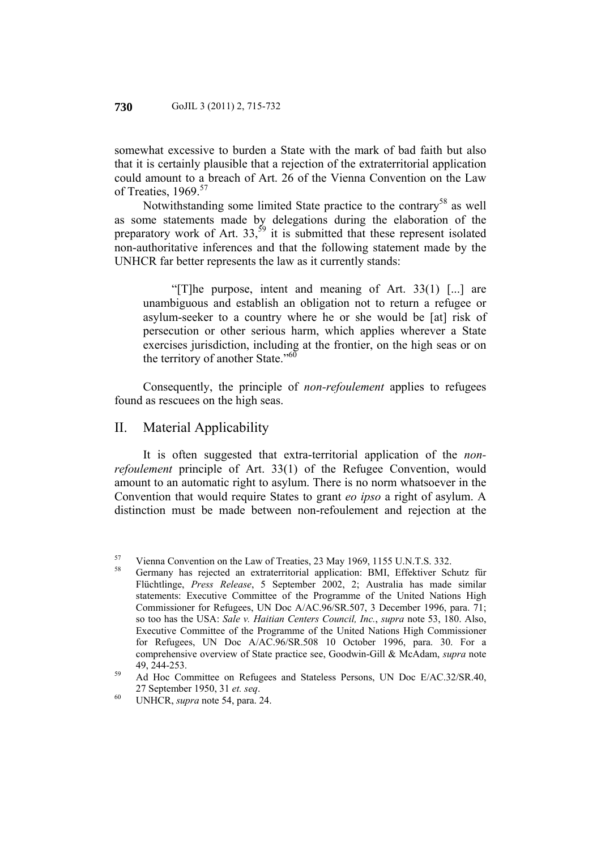somewhat excessive to burden a State with the mark of bad faith but also that it is certainly plausible that a rejection of the extraterritorial application could amount to a breach of Art. 26 of the Vienna Convention on the Law of Treaties, 1969.<sup>57</sup>

Notwithstanding some limited State practice to the contrary<sup>58</sup> as well as some statements made by delegations during the elaboration of the preparatory work of Art.  $33,^{59}$  it is submitted that these represent isolated non-authoritative inferences and that the following statement made by the UNHCR far better represents the law as it currently stands:

"[T]he purpose, intent and meaning of Art. 33(1) [...] are unambiguous and establish an obligation not to return a refugee or asylum-seeker to a country where he or she would be [at] risk of persecution or other serious harm, which applies wherever a State exercises jurisdiction, including at the frontier, on the high seas or on the territory of another State."<sup>60</sup>

Consequently, the principle of *non-refoulement* applies to refugees found as rescuees on the high seas.

#### II. Material Applicability

It is often suggested that extra-territorial application of the *nonrefoulement* principle of Art. 33(1) of the Refugee Convention, would amount to an automatic right to asylum. There is no norm whatsoever in the Convention that would require States to grant *eo ipso* a right of asylum. A distinction must be made between non-refoulement and rejection at the

<sup>&</sup>lt;sup>57</sup> Vienna Convention on the Law of Treaties, 23 May 1969, 1155 U.N.T.S. 332.<br><sup>58</sup> Germany has rejected an extraterritorial application: BMI, Effektiver Schutz für Flüchtlinge, *Press Release*, 5 September 2002, 2; Australia has made similar statements: Executive Committee of the Programme of the United Nations High Commissioner for Refugees, UN Doc A/AC.96/SR.507, 3 December 1996, para. 71; so too has the USA: *Sale v. Haitian Centers Council, Inc.*, *supra* note 53, 180. Also, Executive Committee of the Programme of the United Nations High Commissioner for Refugees, UN Doc A/AC.96/SR.508 10 October 1996, para. 30. For a comprehensive overview of State practice see, Goodwin-Gill & McAdam, *supra* note

<sup>49, 244-253.&</sup>lt;br>
<sup>59</sup> Ad Hoc Committee on Refugees and Stateless Persons, UN Doc E/AC.32/SR.40,

<sup>27</sup> September 1950, 31 *et. seq*. 60 UNHCR, *supra* note 54, para. 24.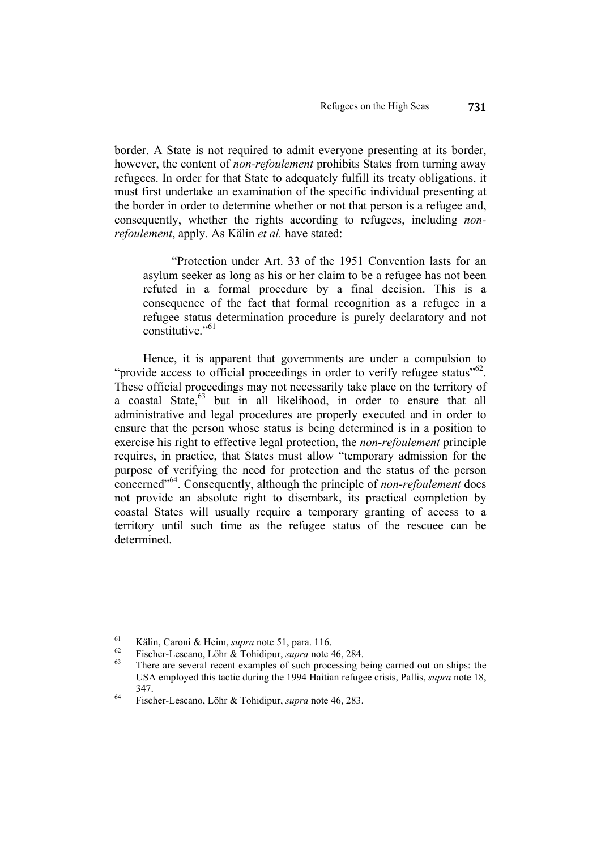border. A State is not required to admit everyone presenting at its border, however, the content of *non-refoulement* prohibits States from turning away refugees. In order for that State to adequately fulfill its treaty obligations, it must first undertake an examination of the specific individual presenting at the border in order to determine whether or not that person is a refugee and, consequently, whether the rights according to refugees, including *nonrefoulement*, apply. As Kälin *et al.* have stated:

"Protection under Art. 33 of the 1951 Convention lasts for an asylum seeker as long as his or her claim to be a refugee has not been refuted in a formal procedure by a final decision. This is a consequence of the fact that formal recognition as a refugee in a refugee status determination procedure is purely declaratory and not constitutive."<sup>61</sup>

Hence, it is apparent that governments are under a compulsion to "provide access to official proceedings in order to verify refugee status"<sup>62</sup>. These official proceedings may not necessarily take place on the territory of a coastal State,<sup>63</sup> but in all likelihood, in order to ensure that all administrative and legal procedures are properly executed and in order to ensure that the person whose status is being determined is in a position to exercise his right to effective legal protection, the *non-refoulement* principle requires, in practice, that States must allow "temporary admission for the purpose of verifying the need for protection and the status of the person concerned"64. Consequently, although the principle of *non-refoulement* does not provide an absolute right to disembark, its practical completion by coastal States will usually require a temporary granting of access to a territory until such time as the refugee status of the rescuee can be determined.

<sup>61</sup> Kälin, Caroni & Heim, *supra* note 51, para. 116.<br>
<sup>62</sup> Fischer-Lescano, Löhr & Tohidipur, *supra* note 46, 284.<br>
<sup>63</sup> There are several recent examples of such processing being carried out on ships: the USA employed this tactic during the 1994 Haitian refugee crisis, Pallis, *supra* note 18, 347. 64 Fischer-Lescano, Löhr & Tohidipur, *supra* note 46, 283.